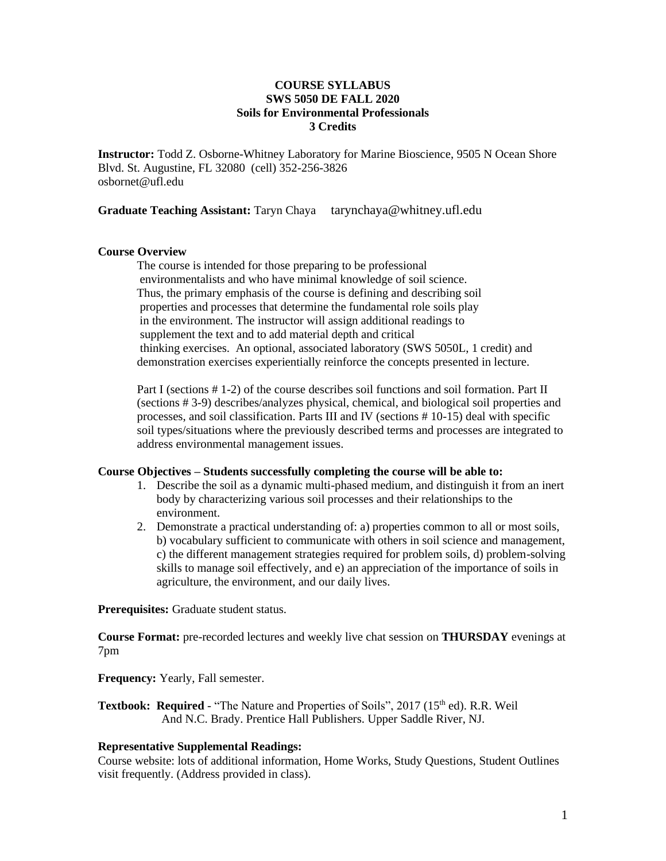## **COURSE SYLLABUS SWS 5050 DE FALL 2020 Soils for Environmental Professionals 3 Credits**

**Instructor:** Todd Z. Osborne-Whitney Laboratory for Marine Bioscience, 9505 N Ocean Shore Blvd. St. Augustine, FL 32080 (cell) 352-256-3826 osbornet@ufl.edu

**Graduate Teaching Assistant:** Taryn Chaya tarynchaya@whitney.ufl.edu

### **Course Overview**

The course is intended for those preparing to be professional environmentalists and who have minimal knowledge of soil science. Thus, the primary emphasis of the course is defining and describing soil properties and processes that determine the fundamental role soils play in the environment. The instructor will assign additional readings to supplement the text and to add material depth and critical thinking exercises. An optional, associated laboratory (SWS 5050L, 1 credit) and demonstration exercises experientially reinforce the concepts presented in lecture.

Part I (sections # 1-2) of the course describes soil functions and soil formation. Part II (sections # 3-9) describes/analyzes physical, chemical, and biological soil properties and processes, and soil classification. Parts III and IV (sections # 10-15) deal with specific soil types/situations where the previously described terms and processes are integrated to address environmental management issues.

## **Course Objectives – Students successfully completing the course will be able to:**

- 1. Describe the soil as a dynamic multi-phased medium, and distinguish it from an inert body by characterizing various soil processes and their relationships to the environment.
- 2. Demonstrate a practical understanding of: a) properties common to all or most soils, b) vocabulary sufficient to communicate with others in soil science and management, c) the different management strategies required for problem soils, d) problem-solving skills to manage soil effectively, and e) an appreciation of the importance of soils in agriculture, the environment, and our daily lives.

**Prerequisites:** Graduate student status.

**Course Format:** pre-recorded lectures and weekly live chat session on **THURSDAY** evenings at 7pm

**Frequency:** Yearly, Fall semester.

Textbook: Required - "The Nature and Properties of Soils", 2017 (15<sup>th</sup> ed). R.R. Weil And N.C. Brady. Prentice Hall Publishers. Upper Saddle River, NJ.

# **Representative Supplemental Readings:**

Course website: lots of additional information, Home Works, Study Questions, Student Outlines visit frequently. (Address provided in class).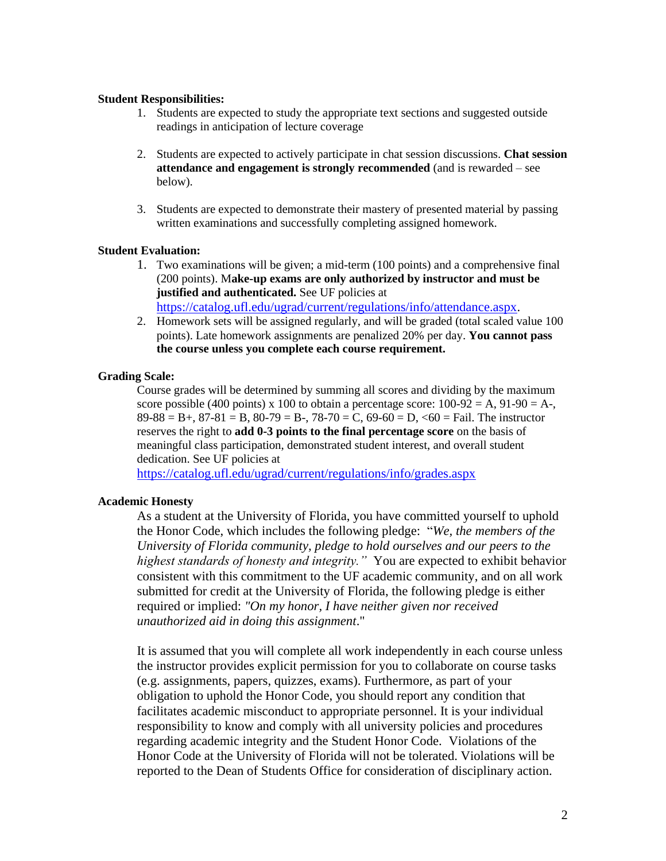### **Student Responsibilities:**

- 1. Students are expected to study the appropriate text sections and suggested outside readings in anticipation of lecture coverage
- 2. Students are expected to actively participate in chat session discussions. **Chat session attendance and engagement is strongly recommended** (and is rewarded – see below).
- 3. Students are expected to demonstrate their mastery of presented material by passing written examinations and successfully completing assigned homework.

### **Student Evaluation:**

- 1. Two examinations will be given; a mid-term (100 points) and a comprehensive final (200 points). M**ake-up exams are only authorized by instructor and must be justified and authenticated.** See UF policies at [https://catalog.ufl.edu/ugrad/current/regulations/info/attendance.aspx.](https://catalog.ufl.edu/ugrad/current/regulations/info/attendance.aspx)
- 2. Homework sets will be assigned regularly, and will be graded (total scaled value 100 points). Late homework assignments are penalized 20% per day. **You cannot pass the course unless you complete each course requirement.**

# **Grading Scale:**

Course grades will be determined by summing all scores and dividing by the maximum score possible (400 points) x 100 to obtain a percentage score:  $100-92 = A$ ,  $91-90 = A$ ,  $89-88 = B+$ ,  $87-81 = B$ ,  $80-79 = B-$ ,  $78-70 = C$ ,  $69-60 = D$ ,  $60 = F$ ail. The instructor reserves the right to **add 0-3 points to the final percentage score** on the basis of meaningful class participation, demonstrated student interest, and overall student dedication. See UF policies at

<https://catalog.ufl.edu/ugrad/current/regulations/info/grades.aspx>

# **Academic Honesty**

As a student at the University of Florida, you have committed yourself to uphold the Honor Code, which includes the following pledge: "*We, the members of the University of Florida community, pledge to hold ourselves and our peers to the highest standards of honesty and integrity."* You are expected to exhibit behavior consistent with this commitment to the UF academic community, and on all work submitted for credit at the University of Florida, the following pledge is either required or implied: *"On my honor, I have neither given nor received unauthorized aid in doing this assignment*."

It is assumed that you will complete all work independently in each course unless the instructor provides explicit permission for you to collaborate on course tasks (e.g. assignments, papers, quizzes, exams). Furthermore, as part of your obligation to uphold the Honor Code, you should report any condition that facilitates academic misconduct to appropriate personnel. It is your individual responsibility to know and comply with all university policies and procedures regarding academic integrity and the Student Honor Code. Violations of the Honor Code at the University of Florida will not be tolerated. Violations will be reported to the Dean of Students Office for consideration of disciplinary action.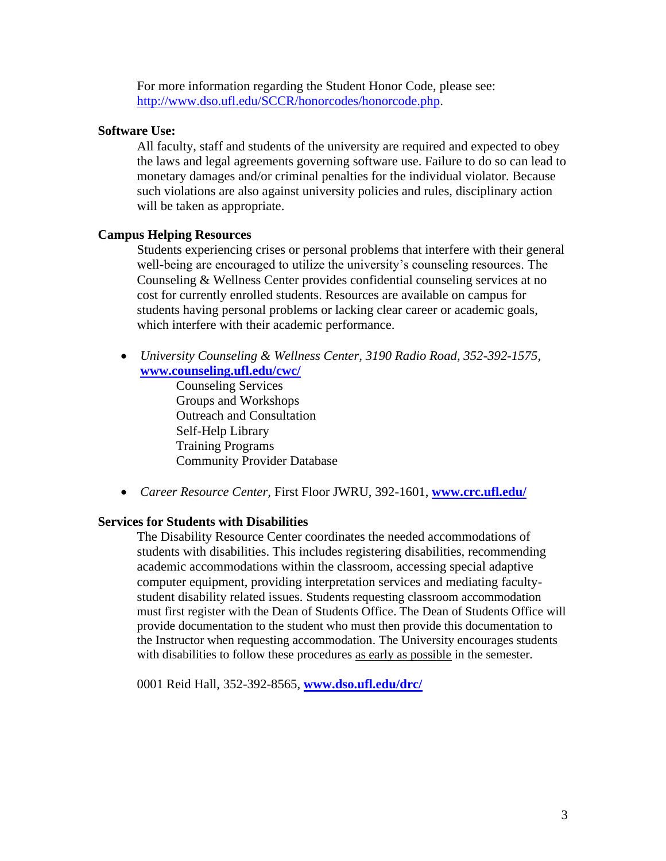For more information regarding the Student Honor Code, please see: [http://www.dso.ufl.edu/SCCR/honorcodes/honorcode.php.](http://www.dso.ufl.edu/SCCR/honorcodes/honorcode.php)

# **Software Use:**

All faculty, staff and students of the university are required and expected to obey the laws and legal agreements governing software use. Failure to do so can lead to monetary damages and/or criminal penalties for the individual violator. Because such violations are also against university policies and rules, disciplinary action will be taken as appropriate.

# **Campus Helping Resources**

Students experiencing crises or personal problems that interfere with their general well-being are encouraged to utilize the university's counseling resources. The Counseling & Wellness Center provides confidential counseling services at no cost for currently enrolled students. Resources are available on campus for students having personal problems or lacking clear career or academic goals, which interfere with their academic performance.

• *University Counseling & Wellness Center, 3190 Radio Road, 352-392-1575,* **[www.counseling.ufl.edu/cwc/](http://www.counseling.ufl.edu/cwc/)**

> Counseling Services Groups and Workshops Outreach and Consultation Self-Help Library Training Programs Community Provider Database

• *Career Resource Center,* First Floor JWRU, 392-1601, **[www.crc.ufl.edu/](http://www.crc.ufl.edu/)**

## **Services for Students with Disabilities**

The Disability Resource Center coordinates the needed accommodations of students with disabilities. This includes registering disabilities, recommending academic accommodations within the classroom, accessing special adaptive computer equipment, providing interpretation services and mediating facultystudent disability related issues. Students requesting classroom accommodation must first register with the Dean of Students Office. The Dean of Students Office will provide documentation to the student who must then provide this documentation to the Instructor when requesting accommodation. The University encourages students with disabilities to follow these procedures as early as possible in the semester.

0001 Reid Hall, 352-392-8565, **[www.dso.ufl.edu/drc/](http://www.dso.ufl.edu/drc/)**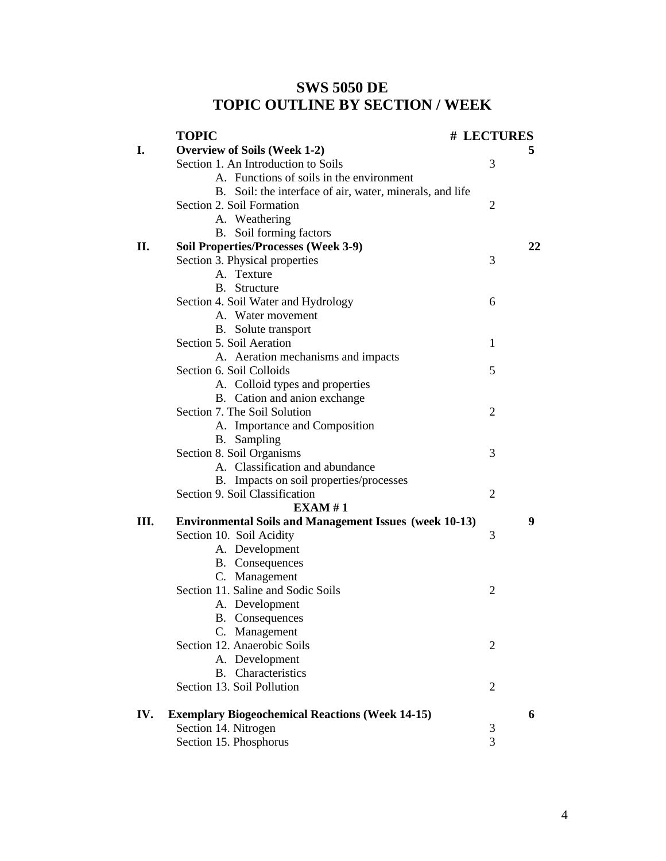# **SWS 5050 DE TOPIC OUTLINE BY SECTION / WEEK**

|      | <b>TOPIC</b>                                                  | # LECTURES     |    |
|------|---------------------------------------------------------------|----------------|----|
| I.   | <b>Overview of Soils (Week 1-2)</b>                           |                | 5  |
|      | Section 1. An Introduction to Soils                           | 3              |    |
|      | A. Functions of soils in the environment                      |                |    |
|      | B. Soil: the interface of air, water, minerals, and life      |                |    |
|      | Section 2. Soil Formation                                     | $\overline{2}$ |    |
|      | A. Weathering                                                 |                |    |
|      | B. Soil forming factors                                       |                |    |
| П.   | <b>Soil Properties/Processes (Week 3-9)</b>                   |                | 22 |
|      | Section 3. Physical properties                                | 3              |    |
|      | A. Texture                                                    |                |    |
|      | B. Structure                                                  |                |    |
|      | Section 4. Soil Water and Hydrology                           | 6              |    |
|      | A. Water movement                                             |                |    |
|      | B. Solute transport                                           |                |    |
|      | Section 5. Soil Aeration                                      | 1              |    |
|      | A. Aeration mechanisms and impacts                            |                |    |
|      | Section 6. Soil Colloids                                      | 5              |    |
|      | A. Colloid types and properties                               |                |    |
|      | B. Cation and anion exchange                                  |                |    |
|      | Section 7. The Soil Solution                                  | 2              |    |
|      | A. Importance and Composition                                 |                |    |
|      | B. Sampling                                                   |                |    |
|      | Section 8. Soil Organisms                                     | 3              |    |
|      | A. Classification and abundance                               |                |    |
|      | B. Impacts on soil properties/processes                       |                |    |
|      | Section 9. Soil Classification                                | 2              |    |
|      | EXAMPLEXAM#1                                                  |                |    |
| III. | <b>Environmental Soils and Management Issues (week 10-13)</b> |                | 9  |
|      | Section 10. Soil Acidity                                      | 3              |    |
|      | A. Development                                                |                |    |
|      | <b>B.</b> Consequences                                        |                |    |
|      | C. Management                                                 |                |    |
|      | Section 11. Saline and Sodic Soils                            | 2              |    |
|      | A. Development                                                |                |    |
|      | <b>B.</b> Consequences                                        |                |    |
|      | C.<br>Management                                              |                |    |
|      | Section 12. Anaerobic Soils                                   | $\overline{2}$ |    |
|      | A. Development                                                |                |    |
|      | Characteristics<br>B.                                         |                |    |
|      | Section 13. Soil Pollution                                    | 2              |    |
| IV.  | <b>Exemplary Biogeochemical Reactions (Week 14-15)</b>        |                | 6  |
|      | Section 14. Nitrogen                                          | 3              |    |
|      | Section 15. Phosphorus                                        | 3              |    |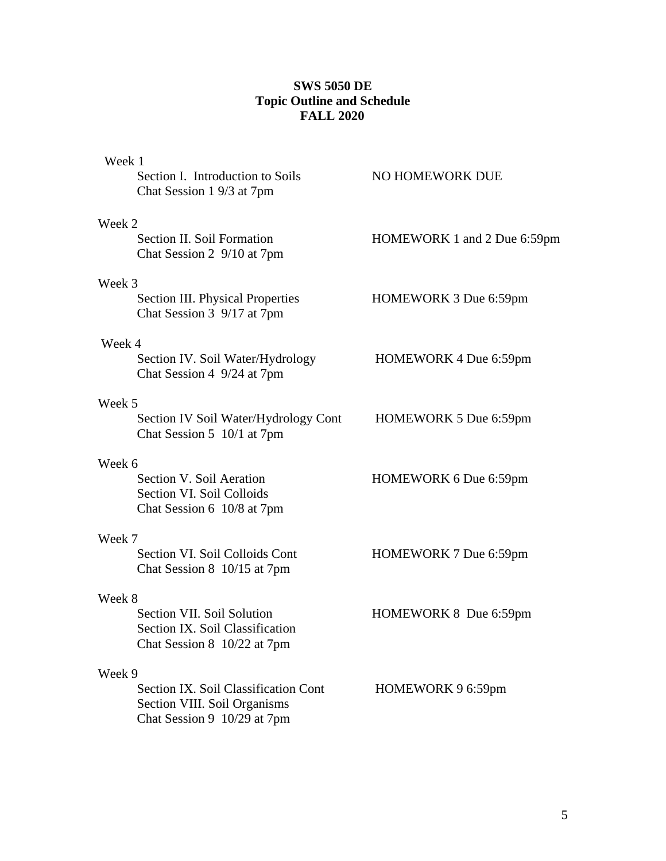# **SWS 5050 DE Topic Outline and Schedule FALL 2020**

| Week 1                                                                              |                             |
|-------------------------------------------------------------------------------------|-----------------------------|
| Section I. Introduction to Soils<br>Chat Session 1 9/3 at 7pm                       | NO HOMEWORK DUE             |
| Week 2                                                                              |                             |
| Section II. Soil Formation<br>Chat Session 2 9/10 at 7pm                            | HOMEWORK 1 and 2 Due 6:59pm |
| Week 3                                                                              |                             |
| Section III. Physical Properties<br>Chat Session 3 9/17 at 7pm                      | HOMEWORK 3 Due 6:59pm       |
| Week 4                                                                              |                             |
| Section IV. Soil Water/Hydrology<br>Chat Session 4 9/24 at 7pm                      | HOMEWORK 4 Due 6:59pm       |
| Week 5                                                                              |                             |
| Section IV Soil Water/Hydrology Cont<br>Chat Session 5 10/1 at 7pm                  | HOMEWORK 5 Due 6:59pm       |
| Week 6                                                                              |                             |
| Section V. Soil Aeration<br>Section VI. Soil Colloids<br>Chat Session 6 10/8 at 7pm | HOMEWORK 6 Due 6:59pm       |
| Week 7                                                                              |                             |
| Section VI. Soil Colloids Cont<br>Chat Session 8 10/15 at 7pm                       | HOMEWORK 7 Due 6:59pm       |
| Week 8                                                                              |                             |
| Section VII. Soil Solution                                                          | HOMEWORK 8 Due 6:59pm       |
| Section IX. Soil Classification<br>Chat Session 8 10/22 at 7pm                      |                             |
| Week 9                                                                              |                             |
| Section IX. Soil Classification Cont<br>Section VIII. Soil Organisms                | HOMEWORK 9 6:59pm           |
| Chat Session 9 10/29 at 7pm                                                         |                             |